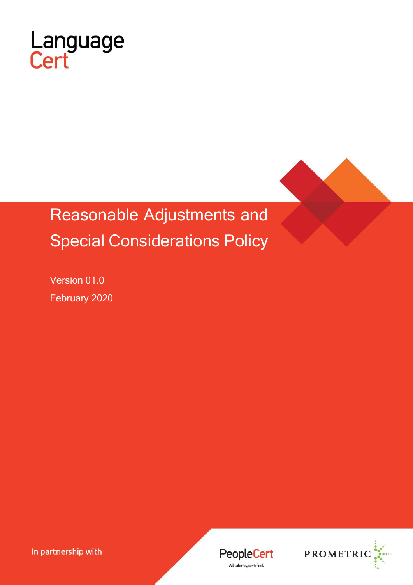

# Reasonable Adjustments and Special Considerations Policy

Version 01.0 February 2020

In partnership with

**PeopleCert** All talents, certified.

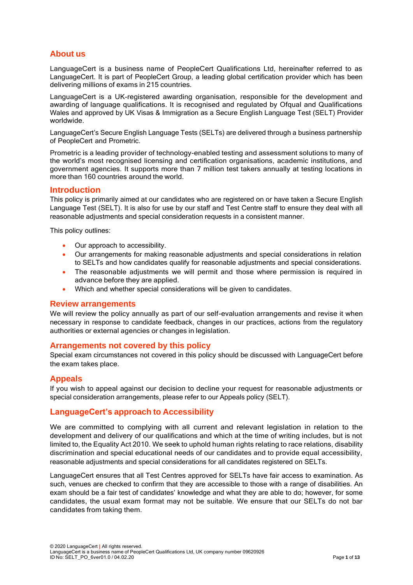## **About us**

LanguageCert is a business name of PeopleCert Qualifications Ltd, hereinafter referred to as LanguageCert. It is part of PeopleCert Group, a leading global certification provider which has been delivering millions of exams in 215 countries.

LanguageCert is a UK-registered awarding organisation, responsible for the development and awarding of language qualifications. It is recognised and regulated by Ofqual and Qualifications Wales and approved by UK Visas & Immigration as a Secure English Language Test (SELT) Provider worldwide.

LanguageCert's Secure English Language Tests (SELTs) are delivered through a business partnership of PeopleCert and Prometric.

Prometric is a leading provider of technology-enabled testing and assessment solutions to many of the world's most recognised licensing and certification organisations, academic institutions, and government agencies. It supports more than 7 million test takers annually at testing locations in more than 160 countries around the world.

#### **Introduction**

This policy is primarily aimed at our candidates who are registered on or have taken a Secure English Language Test (SELT). It is also for use by our staff and Test Centre staff to ensure they deal with all reasonable adjustments and special consideration requests in a consistent manner.

This policy outlines:

- Our approach to accessibility.
- Our arrangements for making reasonable adjustments and special considerations in relation to SELTs and how candidates qualify for reasonable adjustments and special considerations.
- The reasonable adjustments we will permit and those where permission is required in advance before they are applied.
- Which and whether special considerations will be given to candidates.

#### **Review arrangements**

We will review the policy annually as part of our self-evaluation arrangements and revise it when necessary in response to candidate feedback, changes in our practices, actions from the regulatory authorities or external agencies or changes in legislation.

#### **Arrangements not covered by this policy**

Special exam circumstances not covered in this policy should be discussed with LanguageCert before the exam takes place.

#### **Appeals**

If you wish to appeal against our decision to decline your request for reasonable adjustments or special consideration arrangements, please refer to our Appeals policy (SELT).

#### **LanguageCert's approach to Accessibility**

We are committed to complying with all current and relevant legislation in relation to the development and delivery of our qualifications and which at the time of writing includes, but is not limited to, the Equality Act 2010. We seek to uphold human rights relating to race relations, disability discrimination and special educational needs of our candidates and to provide equal accessibility, reasonable adjustments and special considerations for all candidates registered on SELTs.

LanguageCert ensures that all Test Centres approved for SELTs have fair access to examination. As such, venues are checked to confirm that they are accessible to those with a range of disabilities. An exam should be a fair test of candidates' knowledge and what they are able to do; however, for some candidates, the usual exam format may not be suitable. We ensure that our SELTs do not bar candidates from taking them.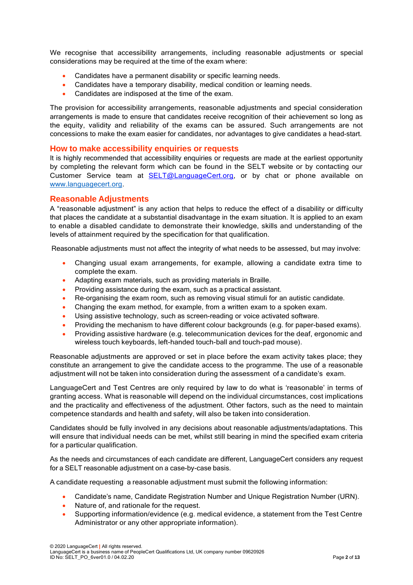We recognise that accessibility arrangements, including reasonable adjustments or special considerations may be required at the time of the exam where:

- Candidates have a permanent disability or specific learning needs.
- Candidates have a temporary disability, medical condition or learning needs.
- Candidates are indisposed at the time of the exam.

The provision for accessibility arrangements, reasonable adjustments and special consideration arrangements is made to ensure that candidates receive recognition of their achievement so long as the equity, validity and reliability of the exams can be assured. Such arrangements are not concessions to make the exam easier for candidates, nor advantages to give candidates a head-start.

#### **How to make accessibility enquiries or requests**

It is highly recommended that accessibility enquiries or requests are made at the earliest opportunity by completing the relevant form which can be found in the SELT website or by contacting our Customer Service team at [SELT@LanguageCert.org,](mailto:SELT@LanguageCert.org) or by chat or phone available on [www.languagecert.org.](http://www.languagecert.org/)

#### **Reasonable Adjustments**

A "reasonable adjustment" is any action that helps to reduce the effect of a disability or difficulty that places the candidate at a substantial disadvantage in the exam situation. It is applied to an exam to enable a disabled candidate to demonstrate their knowledge, skills and understanding of the levels of attainment required by the specification for that qualification.

Reasonable adjustments must not affect the integrity of what needs to be assessed, but may involve:

- Changing usual exam arrangements, for example, allowing a candidate extra time to complete the exam.
- Adapting exam materials, such as providing materials in Braille.
- Providing assistance during the exam, such as a practical assistant.
- Re-organising the exam room, such as removing visual stimuli for an autistic candidate.
- Changing the exam method, for example, from a written exam to a spoken exam.
- Using assistive technology, such as screen-reading or voice activated software.
- Providing the mechanism to have different colour backgrounds (e.g. for paper-based exams).
- Providing assistive hardware (e.g. telecommunication devices for the deaf, ergonomic and wireless touch keyboards, left-handed touch-ball and touch-pad mouse).

Reasonable adjustments are approved or set in place before the exam activity takes place; they constitute an arrangement to give the candidate access to the programme. The use of a reasonable adjustment will not be taken into consideration during the assessment of a candidate's exam.

LanguageCert and Test Centres are only required by law to do what is 'reasonable' in terms of granting access. What is reasonable will depend on the individual circumstances, cost implications and the practicality and effectiveness of the adjustment. Other factors, such as the need to maintain competence standards and health and safety, will also be taken into consideration.

Candidates should be fully involved in any decisions about reasonable adjustments/adaptations. This will ensure that individual needs can be met, whilst still bearing in mind the specified exam criteria for a particular qualification.

As the needs and circumstances of each candidate are different, LanguageCert considers any request for a SELT reasonable adjustment on a case-by-case basis.

A candidate requesting a reasonable adjustment must submit the following information:

- Candidate's name, Candidate Registration Number and Unique Registration Number (URN).
- Nature of, and rationale for the request.
- Supporting information/evidence (e.g. medical evidence, a statement from the Test Centre Administrator or any other appropriate information).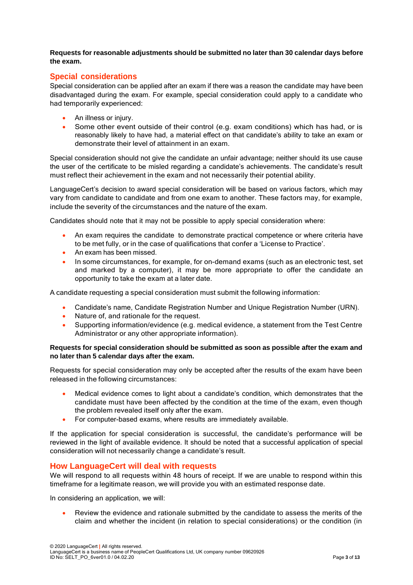**Requests for reasonable adjustments should be submitted no later than 30 calendar days before the exam.**

## **Special considerations**

Special consideration can be applied after an exam if there was a reason the candidate may have been disadvantaged during the exam. For example, special consideration could apply to a candidate who had temporarily experienced:

- An illness or injury.
- Some other event outside of their control (e.g. exam conditions) which has had, or is reasonably likely to have had, a material effect on that candidate's ability to take an exam or demonstrate their level of attainment in an exam.

Special consideration should not give the candidate an unfair advantage; neither should its use cause the user of the certificate to be misled regarding a candidate's achievements. The candidate's result must reflect their achievement in the exam and not necessarily their potential ability.

LanguageCert's decision to award special consideration will be based on various factors, which may vary from candidate to candidate and from one exam to another. These factors may, for example, include the severity of the circumstances and the nature of the exam.

Candidates should note that it may not be possible to apply special consideration where:

- An exam requires the candidate to demonstrate practical competence or where criteria have to be met fully, or in the case of qualifications that confer a 'License to Practice'.
- An exam has been missed.
- In some circumstances, for example, for on-demand exams (such as an electronic test, set and marked by a computer), it may be more appropriate to offer the candidate an opportunity to take the exam at a later date.

A candidate requesting a special consideration must submit the following information:

- Candidate's name, Candidate Registration Number and Unique Registration Number (URN).
- Nature of, and rationale for the request.
- Supporting information/evidence (e.g. medical evidence, a statement from the Test Centre Administrator or any other appropriate information).

#### **Requests for special consideration should be submitted as soon as possible after the exam and no later than 5 calendar days after the exam.**

Requests for special consideration may only be accepted after the results of the exam have been released in the following circumstances:

- Medical evidence comes to light about a candidate's condition, which demonstrates that the candidate must have been affected by the condition at the time of the exam, even though the problem revealed itself only after the exam.
- For computer-based exams, where results are immediately available.

If the application for special consideration is successful, the candidate's performance will be reviewed in the light of available evidence. It should be noted that a successful application of special consideration will not necessarily change a candidate's result.

#### **How LanguageCert will deal with requests**

We will respond to all requests within 48 hours of receipt. If we are unable to respond within this timeframe for a legitimate reason, we will provide you with an estimated response date.

In considering an application, we will:

• Review the evidence and rationale submitted by the candidate to assess the merits of the claim and whether the incident (in relation to special considerations) or the condition (in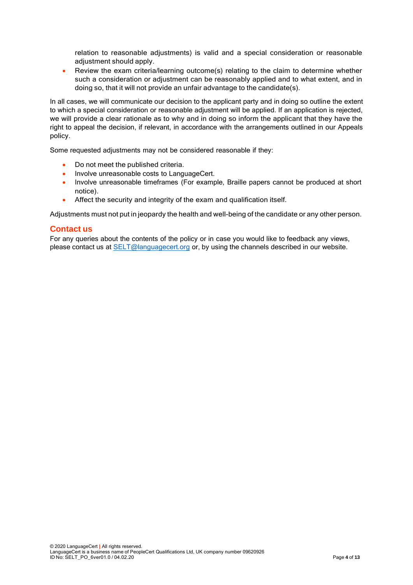relation to reasonable adjustments) is valid and a special consideration or reasonable adjustment should apply.

• Review the exam criteria/learning outcome(s) relating to the claim to determine whether such a consideration or adjustment can be reasonably applied and to what extent, and in doing so, that it will not provide an unfair advantage to the candidate(s).

In all cases, we will communicate our decision to the applicant party and in doing so outline the extent to which a special consideration or reasonable adjustment will be applied. If an application is rejected, we will provide a clear rationale as to why and in doing so inform the applicant that they have the right to appeal the decision, if relevant, in accordance with the arrangements outlined in our Appeals policy.

Some requested adjustments may not be considered reasonable if they:

- Do not meet the published criteria.
- Involve unreasonable costs to LanguageCert.
- Involve unreasonable timeframes (For example, Braille papers cannot be produced at short notice).
- Affect the security and integrity of the exam and qualification itself.

Adjustments must not put in jeopardy the health and well-being of the candidate or any other person.

#### **Contact us**

For any queries about the contents of the policy or in case you would like to feedback any views, please contact us at **SELT**@languagecert.org or, by using the channels described in our website.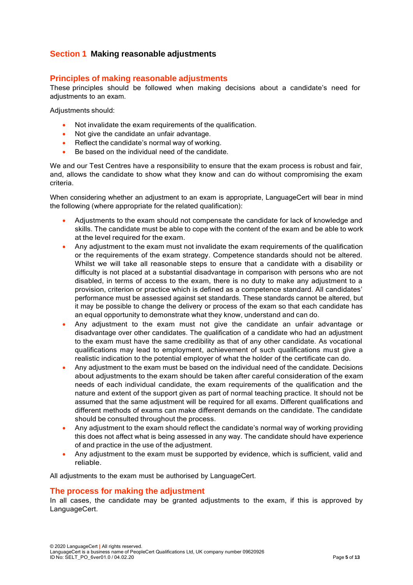## **Section 1 Making reasonable adjustments**

## **Principles of making reasonable adjustments**

These principles should be followed when making decisions about a candidate's need for adjustments to an exam.

Adjustments should:

- Not invalidate the exam requirements of the qualification.
- Not give the candidate an unfair advantage.
- Reflect the candidate's normal way of working.
- Be based on the individual need of the candidate.

We and our Test Centres have a responsibility to ensure that the exam process is robust and fair, and, allows the candidate to show what they know and can do without compromising the exam criteria.

When considering whether an adjustment to an exam is appropriate, LanguageCert will bear in mind the following (where appropriate for the related qualification):

- Adjustments to the exam should not compensate the candidate for lack of knowledge and skills. The candidate must be able to cope with the content of the exam and be able to work at the level required for the exam.
- Any adjustment to the exam must not invalidate the exam requirements of the qualification or the requirements of the exam strategy. Competence standards should not be altered. Whilst we will take all reasonable steps to ensure that a candidate with a disability or difficulty is not placed at a substantial disadvantage in comparison with persons who are not disabled, in terms of access to the exam, there is no duty to make any adjustment to a provision, criterion or practice which is defined as a competence standard. All candidates' performance must be assessed against set standards. These standards cannot be altered, but it may be possible to change the delivery or process of the exam so that each candidate has an equal opportunity to demonstrate what they know, understand and can do.
- Any adjustment to the exam must not give the candidate an unfair advantage or disadvantage over other candidates. The qualification of a candidate who had an adjustment to the exam must have the same credibility as that of any other candidate. As vocational qualifications may lead to employment, achievement of such qualifications must give a realistic indication to the potential employer of what the holder of the certificate can do.
- Any adjustment to the exam must be based on the individual need of the candidate. Decisions about adjustments to the exam should be taken after careful consideration of the exam needs of each individual candidate, the exam requirements of the qualification and the nature and extent of the support given as part of normal teaching practice. It should not be assumed that the same adjustment will be required for all exams. Different qualifications and different methods of exams can make different demands on the candidate. The candidate should be consulted throughout the process.
- Any adjustment to the exam should reflect the candidate's normal way of working providing this does not affect what is being assessed in any way. The candidate should have experience of and practice in the use of the adjustment.
- Any adjustment to the exam must be supported by evidence, which is sufficient, valid and reliable.

All adjustments to the exam must be authorised by LanguageCert.

## **The process for making the adjustment**

In all cases, the candidate may be granted adjustments to the exam, if this is approved by LanguageCert.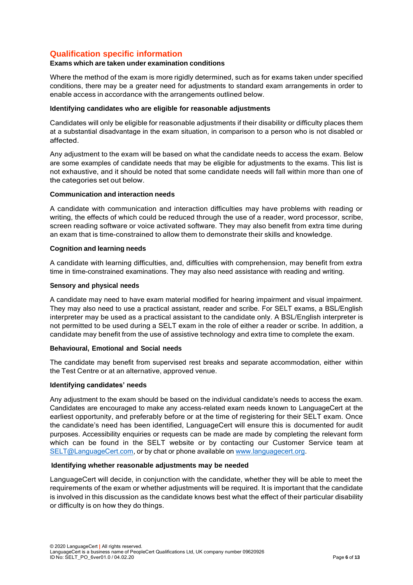## **Qualification specific information**

#### **Exams which are taken under examination conditions**

Where the method of the exam is more rigidly determined, such as for exams taken under specified conditions, there may be a greater need for adjustments to standard exam arrangements in order to enable access in accordance with the arrangements outlined below.

#### **Identifying candidates who are eligible for reasonable adjustments**

Candidates will only be eligible for reasonable adjustments if their disability or difficulty places them at a substantial disadvantage in the exam situation, in comparison to a person who is not disabled or affected.

Any adjustment to the exam will be based on what the candidate needs to access the exam. Below are some examples of candidate needs that may be eligible for adjustments to the exams. This list is not exhaustive, and it should be noted that some candidate needs will fall within more than one of the categories set out below.

#### **Communication and interaction needs**

A candidate with communication and interaction difficulties may have problems with reading or writing, the effects of which could be reduced through the use of a reader, word processor, scribe, screen reading software or voice activated software. They may also benefit from extra time during an exam that is time-constrained to allow them to demonstrate their skills and knowledge.

#### **Cognition and learning needs**

A candidate with learning difficulties, and, difficulties with comprehension, may benefit from extra time in time-constrained examinations. They may also need assistance with reading and writing.

#### **Sensory and physical needs**

A candidate may need to have exam material modified for hearing impairment and visual impairment. They may also need to use a practical assistant, reader and scribe. For SELT exams, a BSL/English interpreter may be used as a practical assistant to the candidate only. A BSL/English interpreter is not permitted to be used during a SELT exam in the role of either a reader or scribe. In addition, a candidate may benefit from the use of assistive technology and extra time to complete the exam.

#### **Behavioural, Emotional and Social needs**

The candidate may benefit from supervised rest breaks and separate accommodation, either within the Test Centre or at an alternative, approved venue.

#### **Identifying candidates' needs**

Any adjustment to the exam should be based on the individual candidate's needs to access the exam. Candidates are encouraged to make any access-related exam needs known to LanguageCert at the earliest opportunity, and preferably before or at the time of registering for their SELT exam. Once the candidate's need has been identified, LanguageCert will ensure this is documented for audit purposes. Accessibility enquiries or requests can be made are made by completing the relevant form which can be found in the SELT website or by contacting our Customer Service team at [SELT@LanguageCert.com,](mailto:SELT@LanguageCert.com) or by chat or phone available on [www.languagecert.org.](http://www.languagecert.org/)

#### **Identifying whether reasonable adjustments may be needed**

LanguageCert will decide, in conjunction with the candidate, whether they will be able to meet the requirements of the exam or whether adjustments will be required. It is important that the candidate is involved in this discussion as the candidate knows best what the effect of their particular disability or difficulty is on how they do things.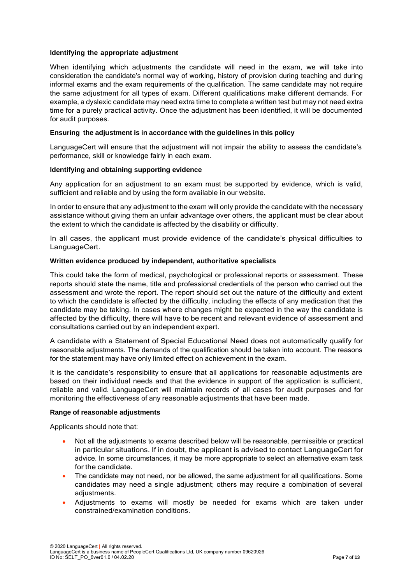#### **Identifying the appropriate adjustment**

When identifying which adjustments the candidate will need in the exam, we will take into consideration the candidate's normal way of working, history of provision during teaching and during informal exams and the exam requirements of the qualification. The same candidate may not require the same adjustment for all types of exam. Different qualifications make different demands. For example, a dyslexic candidate may need extra time to complete a written test but may not need extra time for a purely practical activity. Once the adjustment has been identified, it will be documented for audit purposes.

#### **Ensuring the adjustment is in accordance with the guidelines in this policy**

LanguageCert will ensure that the adjustment will not impair the ability to assess the candidate's performance, skill or knowledge fairly in each exam.

#### **Identifying and obtaining supporting evidence**

Any application for an adjustment to an exam must be supported by evidence, which is valid, sufficient and reliable and by using the form available in our website.

In order to ensure that any adjustment to the exam will only provide the candidate with the necessary assistance without giving them an unfair advantage over others, the applicant must be clear about the extent to which the candidate is affected by the disability or difficulty.

In all cases, the applicant must provide evidence of the candidate's physical difficulties to LanguageCert.

#### **Written evidence produced by independent, authoritative specialists**

This could take the form of medical, psychological or professional reports or assessment. These reports should state the name, title and professional credentials of the person who carried out the assessment and wrote the report. The report should set out the nature of the difficulty and extent to which the candidate is affected by the difficulty, including the effects of any medication that the candidate may be taking. In cases where changes might be expected in the way the candidate is affected by the difficulty, there will have to be recent and relevant evidence of assessment and consultations carried out by an independent expert.

A candidate with a Statement of Special Educational Need does not automatically qualify for reasonable adjustments. The demands of the qualification should be taken into account. The reasons for the statement may have only limited effect on achievement in the exam.

It is the candidate's responsibility to ensure that all applications for reasonable adjustments are based on their individual needs and that the evidence in support of the application is sufficient, reliable and valid. LanguageCert will maintain records of all cases for audit purposes and for monitoring the effectiveness of any reasonable adjustments that have been made.

#### **Range of reasonable adjustments**

Applicants should note that:

- Not all the adjustments to exams described below will be reasonable, permissible or practical in particular situations. If in doubt, the applicant is advised to contact LanguageCert for advice. In some circumstances, it may be more appropriate to select an alternative exam task for the candidate.
- The candidate may not need, nor be allowed, the same adjustment for all qualifications. Some candidates may need a single adjustment; others may require a combination of several adjustments.
- Adjustments to exams will mostly be needed for exams which are taken under constrained/examination conditions.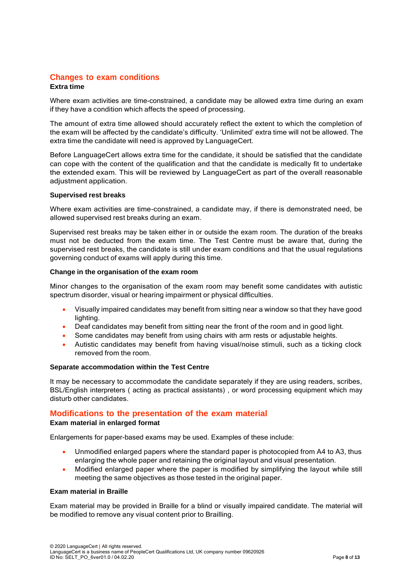## **Changes to exam conditions**

#### **Extra time**

Where exam activities are time-constrained, a candidate may be allowed extra time during an exam if they have a condition which affects the speed of processing.

The amount of extra time allowed should accurately reflect the extent to which the completion of the exam will be affected by the candidate's difficulty. 'Unlimited' extra time will not be allowed. The extra time the candidate will need is approved by LanguageCert.

Before LanguageCert allows extra time for the candidate, it should be satisfied that the candidate can cope with the content of the qualification and that the candidate is medically fit to undertake the extended exam. This will be reviewed by LanguageCert as part of the overall reasonable adjustment application.

#### **Supervised rest breaks**

Where exam activities are time-constrained, a candidate may, if there is demonstrated need, be allowed supervised rest breaks during an exam.

Supervised rest breaks may be taken either in or outside the exam room. The duration of the breaks must not be deducted from the exam time. The Test Centre must be aware that, during the supervised rest breaks, the candidate is still under exam conditions and that the usual regulations governing conduct of exams will apply during this time.

#### **Change in the organisation of the exam room**

Minor changes to the organisation of the exam room may benefit some candidates with autistic spectrum disorder, visual or hearing impairment or physical difficulties.

- Visually impaired candidates may benefit from sitting near a window so that they have good lighting.
- Deaf candidates may benefit from sitting near the front of the room and in good light.
- Some candidates may benefit from using chairs with arm rests or adjustable heights.
- Autistic candidates may benefit from having visual/noise stimuli, such as a ticking clock removed from the room.

#### **Separate accommodation within the Test Centre**

It may be necessary to accommodate the candidate separately if they are using readers, scribes, BSL/English interpreters ( acting as practical assistants) , or word processing equipment which may disturb other candidates.

## **Modifications to the presentation of the exam material**

#### **Exam material in enlarged format**

Enlargements for paper-based exams may be used. Examples of these include:

- Unmodified enlarged papers where the standard paper is photocopied from A4 to A3, thus enlarging the whole paper and retaining the original layout and visual presentation.
- Modified enlarged paper where the paper is modified by simplifying the layout while still meeting the same objectives as those tested in the original paper.

#### **Exam material in Braille**

Exam material may be provided in Braille for a blind or visually impaired candidate. The material will be modified to remove any visual content prior to Brailling.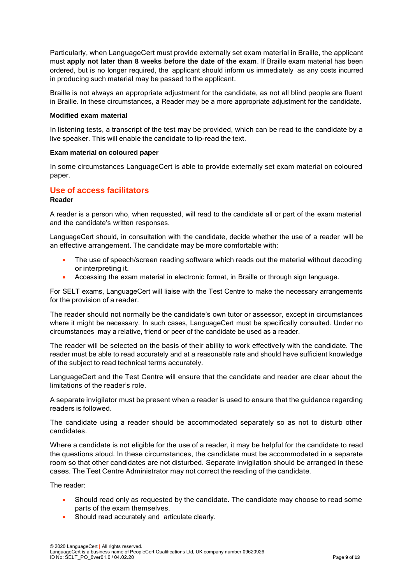Particularly, when LanguageCert must provide externally set exam material in Braille, the applicant must **apply not later than 8 weeks before the date of the exam**. If Braille exam material has been ordered, but is no longer required, the applicant should inform us immediately as any costs incurred in producing such material may be passed to the applicant.

Braille is not always an appropriate adjustment for the candidate, as not all blind people are fluent in Braille. In these circumstances, a Reader may be a more appropriate adjustment for the candidate.

#### **Modified exam material**

In listening tests, a transcript of the test may be provided, which can be read to the candidate by a live speaker. This will enable the candidate to lip-read the text.

#### **Exam material on coloured paper**

In some circumstances LanguageCert is able to provide externally set exam material on coloured paper.

#### **Use of access facilitators**

#### **Reader**

A reader is a person who, when requested, will read to the candidate all or part of the exam material and the candidate's written responses.

LanguageCert should, in consultation with the candidate, decide whether the use of a reader will be an effective arrangement. The candidate may be more comfortable with:

- The use of speech/screen reading software which reads out the material without decoding or interpreting it.
- Accessing the exam material in electronic format, in Braille or through sign language.

For SELT exams, LanguageCert will liaise with the Test Centre to make the necessary arrangements for the provision of a reader.

The reader should not normally be the candidate's own tutor or assessor, except in circumstances where it might be necessary. In such cases, LanguageCert must be specifically consulted. Under no circumstances may a relative, friend or peer of the candidate be used as a reader.

The reader will be selected on the basis of their ability to work effectively with the candidate. The reader must be able to read accurately and at a reasonable rate and should have sufficient knowledge of the subject to read technical terms accurately.

LanguageCert and the Test Centre will ensure that the candidate and reader are clear about the limitations of the reader's role.

A separate invigilator must be present when a reader is used to ensure that the guidance regarding readers is followed.

The candidate using a reader should be accommodated separately so as not to disturb other candidates.

Where a candidate is not eligible for the use of a reader, it may be helpful for the candidate to read the questions aloud. In these circumstances, the candidate must be accommodated in a separate room so that other candidates are not disturbed. Separate invigilation should be arranged in these cases. The Test Centre Administrator may not correct the reading of the candidate.

The reader:

- Should read only as requested by the candidate. The candidate may choose to read some parts of the exam themselves.
- Should read accurately and articulate clearly.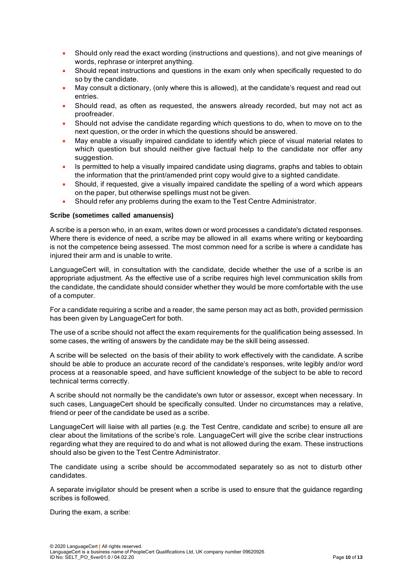- Should only read the exact wording (instructions and questions), and not give meanings of words, rephrase or interpret anything.
- Should repeat instructions and questions in the exam only when specifically requested to do so by the candidate.
- May consult a dictionary, (only where this is allowed), at the candidate's request and read out entries.
- Should read, as often as requested, the answers already recorded, but may not act as proofreader.
- Should not advise the candidate regarding which questions to do, when to move on to the next question, or the order in which the questions should be answered.
- May enable a visually impaired candidate to identify which piece of visual material relates to which question but should neither give factual help to the candidate nor offer any suggestion.
- Is permitted to help a visually impaired candidate using diagrams, graphs and tables to obtain the information that the print/amended print copy would give to a sighted candidate.
- Should, if requested, give a visually impaired candidate the spelling of a word which appears on the paper, but otherwise spellings must not be given.
- Should refer any problems during the exam to the Test Centre Administrator.

#### **Scribe (sometimes called amanuensis)**

A scribe is a person who, in an exam, writes down or word processes a candidate's dictated responses. Where there is evidence of need, a scribe may be allowed in all exams where writing or keyboarding is not the competence being assessed. The most common need for a scribe is where a candidate has injured their arm and is unable to write.

LanguageCert will, in consultation with the candidate, decide whether the use of a scribe is an appropriate adjustment. As the effective use of a scribe requires high level communication skills from the candidate, the candidate should consider whether they would be more comfortable with the use of a computer.

For a candidate requiring a scribe and a reader, the same person may act as both, provided permission has been given by LanguageCert for both.

The use of a scribe should not affect the exam requirements for the qualification being assessed. In some cases, the writing of answers by the candidate may be the skill being assessed.

A scribe will be selected on the basis of their ability to work effectively with the candidate. A scribe should be able to produce an accurate record of the candidate's responses, write legibly and/or word process at a reasonable speed, and have sufficient knowledge of the subject to be able to record technical terms correctly.

A scribe should not normally be the candidate's own tutor or assessor, except when necessary. In such cases, LanguageCert should be specifically consulted. Under no circumstances may a relative, friend or peer of the candidate be used as a scribe.

LanguageCert will liaise with all parties (e.g. the Test Centre, candidate and scribe) to ensure all are clear about the limitations of the scribe's role. LanguageCert will give the scribe clear instructions regarding what they are required to do and what is not allowed during the exam. These instructions should also be given to the Test Centre Administrator.

The candidate using a scribe should be accommodated separately so as not to disturb other candidates.

A separate invigilator should be present when a scribe is used to ensure that the guidance regarding scribes is followed.

During the exam, a scribe: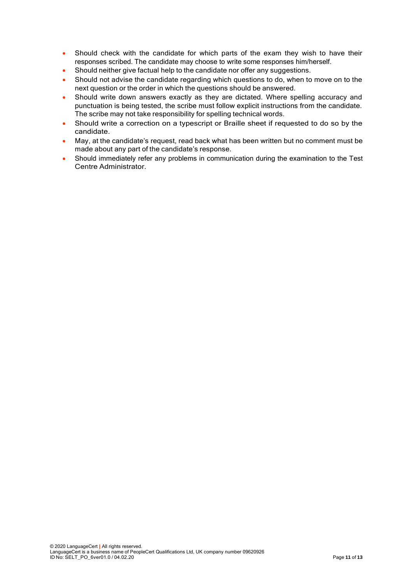- Should check with the candidate for which parts of the exam they wish to have their responses scribed. The candidate may choose to write some responses him/herself.
- Should neither give factual help to the candidate nor offer any suggestions.
- Should not advise the candidate regarding which questions to do, when to move on to the next question or the order in which the questions should be answered.
- Should write down answers exactly as they are dictated. Where spelling accuracy and punctuation is being tested, the scribe must follow explicit instructions from the candidate. The scribe may not take responsibility for spelling technical words.
- Should write a correction on a typescript or Braille sheet if requested to do so by the candidate.
- May, at the candidate's request, read back what has been written but no comment must be made about any part of the candidate's response.
- Should immediately refer any problems in communication during the examination to the Test Centre Administrator.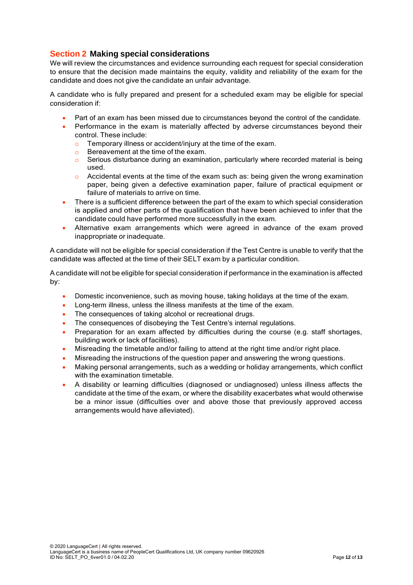## **Section 2 Making special considerations**

We will review the circumstances and evidence surrounding each request for special consideration to ensure that the decision made maintains the equity, validity and reliability of the exam for the candidate and does not give the candidate an unfair advantage.

A candidate who is fully prepared and present for a scheduled exam may be eligible for special consideration if:

- Part of an exam has been missed due to circumstances beyond the control of the candidate.
- Performance in the exam is materially affected by adverse circumstances beyond their control. These include:
	- o Temporary illness or accident/injury at the time of the exam.
	- o Bereavement at the time of the exam.
	- o Serious disturbance during an examination, particularly where recorded material is being used.
	- $\circ$  Accidental events at the time of the exam such as: being given the wrong examination paper, being given a defective examination paper, failure of practical equipment or failure of materials to arrive on time.
- There is a sufficient difference between the part of the exam to which special consideration is applied and other parts of the qualification that have been achieved to infer that the candidate could have performed more successfully in the exam.
- Alternative exam arrangements which were agreed in advance of the exam proved inappropriate or inadequate.

A candidate will not be eligible for special consideration if the Test Centre is unable to verify that the candidate was affected at the time of their SELT exam by a particular condition.

A candidate will not be eligible for special consideration if performance in the examination is affected by:

- Domestic inconvenience, such as moving house, taking holidays at the time of the exam.
- Long-term illness, unless the illness manifests at the time of the exam.
- The consequences of taking alcohol or recreational drugs.
- The consequences of disobeying the Test Centre's internal regulations.
- Preparation for an exam affected by difficulties during the course (e.g. staff shortages, building work or lack of facilities).
- Misreading the timetable and/or failing to attend at the right time and/or right place.
- Misreading the instructions of the question paper and answering the wrong questions.
- Making personal arrangements, such as a wedding or holiday arrangements, which conflict with the examination timetable.
- A disability or learning difficulties (diagnosed or undiagnosed) unless illness affects the candidate at the time of the exam, or where the disability exacerbates what would otherwise be a minor issue (difficulties over and above those that previously approved access arrangements would have alleviated).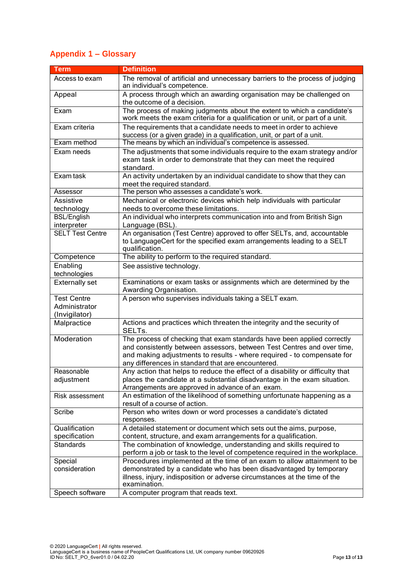## **Appendix 1 – Glossary**

| <b>Term</b>                       | <b>Definition</b>                                                                                                                                       |
|-----------------------------------|---------------------------------------------------------------------------------------------------------------------------------------------------------|
| Access to exam                    | The removal of artificial and unnecessary barriers to the process of judging                                                                            |
|                                   | an individual's competence.                                                                                                                             |
| Appeal                            | A process through which an awarding organisation may be challenged on<br>the outcome of a decision.                                                     |
| Exam                              | The process of making judgments about the extent to which a candidate's<br>work meets the exam criteria for a qualification or unit, or part of a unit. |
| Exam criteria                     | The requirements that a candidate needs to meet in order to achieve                                                                                     |
|                                   | success (or a given grade) in a qualification, unit, or part of a unit.                                                                                 |
| Exam method                       | The means by which an individual's competence is assessed.                                                                                              |
| Exam needs                        | The adjustments that some individuals require to the exam strategy and/or<br>exam task in order to demonstrate that they can meet the required          |
|                                   | standard.                                                                                                                                               |
| Exam task                         | An activity undertaken by an individual candidate to show that they can<br>meet the required standard.                                                  |
| Assessor                          | The person who assesses a candidate's work.                                                                                                             |
| Assistive                         | Mechanical or electronic devices which help individuals with particular                                                                                 |
| technology                        | needs to overcome these limitations.                                                                                                                    |
| <b>BSL/English</b><br>interpreter | An individual who interprets communication into and from British Sign<br>Language (BSL).                                                                |
| <b>SELT Test Centre</b>           | An organisation (Test Centre) approved to offer SELTs, and, accountable                                                                                 |
|                                   | to LanguageCert for the specified exam arrangements leading to a SELT                                                                                   |
|                                   | qualification.                                                                                                                                          |
| Competence                        | The ability to perform to the required standard.                                                                                                        |
| Enabling<br>technologies          | See assistive technology.                                                                                                                               |
| <b>Externally set</b>             | Examinations or exam tasks or assignments which are determined by the<br>Awarding Organisation.                                                         |
| <b>Test Centre</b>                | A person who supervises individuals taking a SELT exam.                                                                                                 |
| Administrator                     |                                                                                                                                                         |
| (Invigilator)                     |                                                                                                                                                         |
| Malpractice                       | Actions and practices which threaten the integrity and the security of<br>SELTs.                                                                        |
| Moderation                        | The process of checking that exam standards have been applied correctly                                                                                 |
|                                   | and consistently between assessors, between Test Centres and over time,                                                                                 |
|                                   | and making adjustments to results - where required - to compensate for                                                                                  |
|                                   | any differences in standard that are encountered.                                                                                                       |
| Reasonable                        | Any action that helps to reduce the effect of a disability or difficulty that                                                                           |
| adjustment                        | places the candidate at a substantial disadvantage in the exam situation.                                                                               |
|                                   | Arrangements are approved in advance of an exam.                                                                                                        |
| Risk assessment                   | An estimation of the likelihood of something unfortunate happening as a<br>result of a course of action.                                                |
| Scribe                            | Person who writes down or word processes a candidate's dictated<br>responses.                                                                           |
| Qualification                     | A detailed statement or document which sets out the aims, purpose,                                                                                      |
| specification                     | content, structure, and exam arrangements for a qualification.                                                                                          |
| <b>Standards</b>                  | The combination of knowledge, understanding and skills required to                                                                                      |
|                                   | perform a job or task to the level of competence required in the workplace.                                                                             |
| Special                           | Procedures implemented at the time of an exam to allow attainment to be                                                                                 |
| consideration                     | demonstrated by a candidate who has been disadvantaged by temporary                                                                                     |
|                                   | illness, injury, indisposition or adverse circumstances at the time of the<br>examination.                                                              |
| Speech software                   | A computer program that reads text.                                                                                                                     |